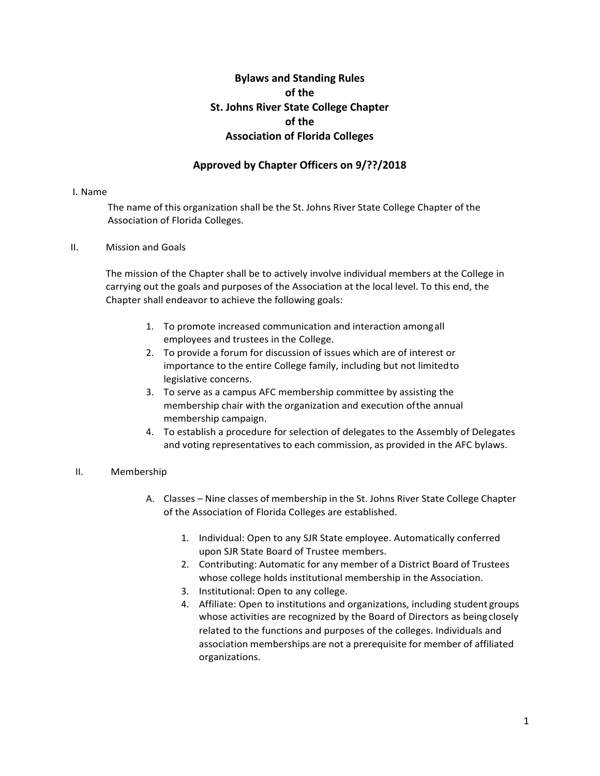## **Bylaws and Standing Rules of the St. Johns River State College Chapter of the Association of Florida Colleges**

## **Approved by Chapter Officers on 9/??/2018**

I. Name

The name of this organization shall be the St. Johns River State College Chapter of the Association of Florida Colleges.

II. Mission and Goals

The mission of the Chapter shall be to actively involve individual members at the College in carrying out the goals and purposes of the Association at the local level. To this end, the Chapter shall endeavor to achieve the following goals:

- 1. To promote increased communication and interaction amongall employees and trustees in the College.
- 2. To provide a forum for discussion of issues which are of interest or importance to the entire College family, including but not limitedto legislative concerns.
- 3. To serve as a campus AFC membership committee by assisting the membership chair with the organization and execution ofthe annual membership campaign.
- 4. To establish a procedure for selection of delegates to the Assembly of Delegates and voting representatives to each commission, as provided in the AFC bylaws.

#### II. Membership

- A. Classes Nine classes of membership in the St. Johns River State College Chapter of the Association of Florida Colleges are established.
	- 1. Individual: Open to any SJR State employee. Automatically conferred upon SJR State Board of Trustee members.
	- 2. Contributing: Automatic for any member of a District Board of Trustees whose college holds institutional membership in the Association.
	- 3. Institutional: Open to any college.
	- 4. Affiliate: Open to institutions and organizations, including student groups whose activities are recognized by the Board of Directors as being closely related to the functions and purposes of the colleges. Individuals and association memberships are not a prerequisite for member of affiliated organizations.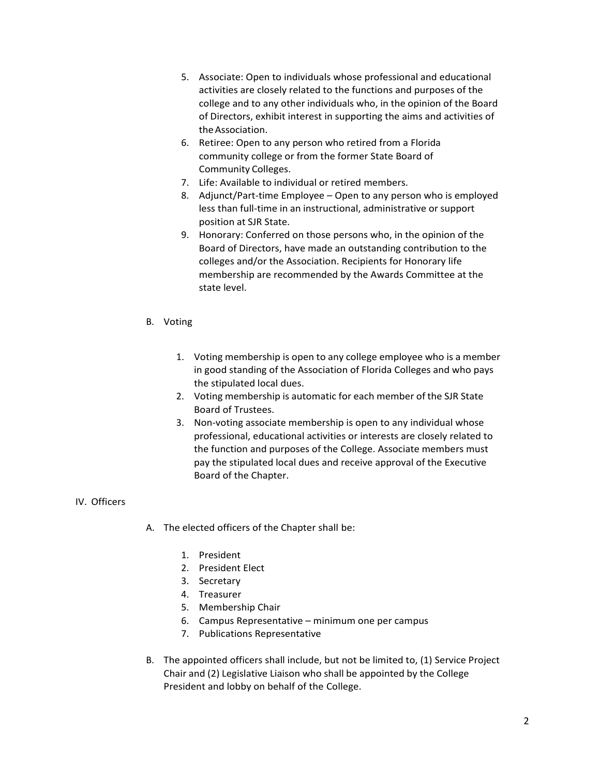- 5. Associate: Open to individuals whose professional and educational activities are closely related to the functions and purposes of the college and to any other individuals who, in the opinion of the Board of Directors, exhibit interest in supporting the aims and activities of theAssociation.
- 6. Retiree: Open to any person who retired from a Florida community college or from the former State Board of Community Colleges.
- 7. Life: Available to individual or retired members.
- 8. Adjunct/Part-time Employee Open to any person who is employed less than full-time in an instructional, administrative or support position at SJR State.
- 9. Honorary: Conferred on those persons who, in the opinion of the Board of Directors, have made an outstanding contribution to the colleges and/or the Association. Recipients for Honorary life membership are recommended by the Awards Committee at the state level.
- B. Voting
	- 1. Voting membership is open to any college employee who is a member in good standing of the Association of Florida Colleges and who pays the stipulated local dues.
	- 2. Voting membership is automatic for each member of the SJR State Board of Trustees.
	- 3. Non-voting associate membership is open to any individual whose professional, educational activities or interests are closely related to the function and purposes of the College. Associate members must pay the stipulated local dues and receive approval of the Executive Board of the Chapter.

## IV. Officers

- A. The elected officers of the Chapter shall be:
	- 1. President
	- 2. President Elect
	- 3. Secretary
	- 4. Treasurer
	- 5. Membership Chair
	- 6. Campus Representative minimum one per campus
	- 7. Publications Representative
- B. The appointed officers shall include, but not be limited to, (1) Service Project Chair and (2) Legislative Liaison who shall be appointed by the College President and lobby on behalf of the College.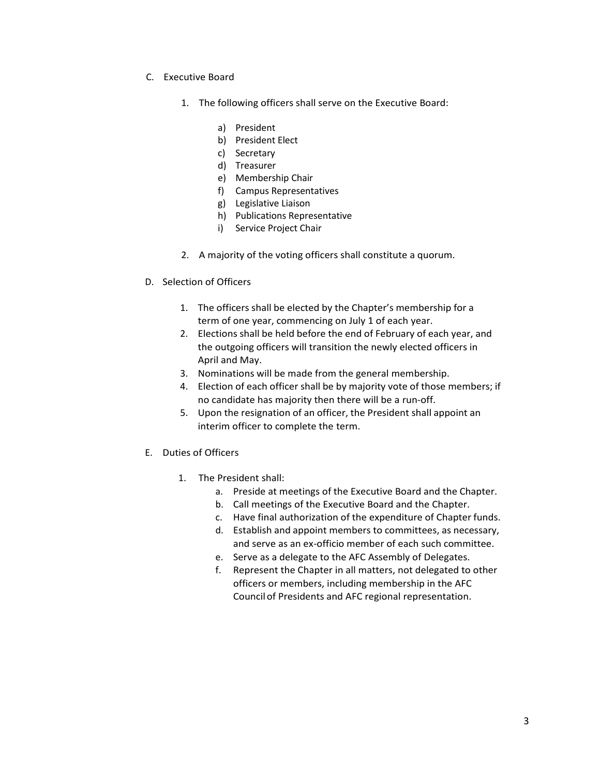- C. Executive Board
	- 1. The following officers shall serve on the Executive Board:
		- a) President
		- b) President Elect
		- c) Secretary
		- d) Treasurer
		- e) Membership Chair
		- f) Campus Representatives
		- g) Legislative Liaison
		- h) Publications Representative
		- i) Service Project Chair
	- 2. A majority of the voting officers shall constitute a quorum.
- D. Selection of Officers
	- 1. The officers shall be elected by the Chapter's membership for a term of one year, commencing on July 1 of each year.
	- 2. Elections shall be held before the end of February of each year, and the outgoing officers will transition the newly elected officers in April and May.
	- 3. Nominations will be made from the general membership.
	- 4. Election of each officer shall be by majority vote of those members; if no candidate has majority then there will be a run-off.
	- 5. Upon the resignation of an officer, the President shall appoint an interim officer to complete the term.
- E. Duties of Officers
	- 1. The President shall:
		- a. Preside at meetings of the Executive Board and the Chapter.
		- b. Call meetings of the Executive Board and the Chapter.
		- c. Have final authorization of the expenditure of Chapter funds.
		- d. Establish and appoint members to committees, as necessary, and serve as an ex-officio member of each such committee.
		- e. Serve as a delegate to the AFC Assembly of Delegates.
		- f. Represent the Chapter in all matters, not delegated to other officers or members, including membership in the AFC Councilof Presidents and AFC regional representation.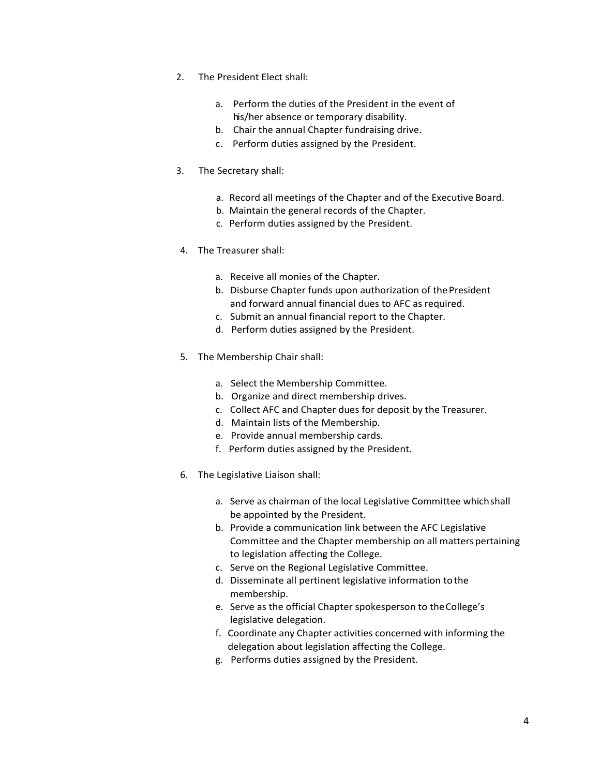- 2. The President Elect shall:
	- a. Perform the duties of the President in the event of his/her absence or temporary disability.
	- b. Chair the annual Chapter fundraising drive.
	- c. Perform duties assigned by the President.
- 3. The Secretary shall:
	- a. Record all meetings of the Chapter and of the Executive Board.
	- b. Maintain the general records of the Chapter.
	- c. Perform duties assigned by the President.
- 4. The Treasurer shall:
	- a. Receive all monies of the Chapter.
	- b. Disburse Chapter funds upon authorization of the President and forward annual financial dues to AFC as required.
	- c. Submit an annual financial report to the Chapter.
	- d. Perform duties assigned by the President.
- 5. The Membership Chair shall:
	- a. Select the Membership Committee.
	- b. Organize and direct membership drives.
	- c. Collect AFC and Chapter dues for deposit by the Treasurer.
	- d. Maintain lists of the Membership.
	- e. Provide annual membership cards.
	- f. Perform duties assigned by the President.
- 6. The Legislative Liaison shall:
	- a. Serve as chairman of the local Legislative Committee whichshall be appointed by the President.
	- b. Provide a communication link between the AFC Legislative Committee and the Chapter membership on all matters pertaining to legislation affecting the College.
	- c. Serve on the Regional Legislative Committee.
	- d. Disseminate all pertinent legislative information tothe membership.
	- e. Serve as the official Chapter spokesperson to theCollege's legislative delegation.
	- f. Coordinate any Chapter activities concerned with informing the delegation about legislation affecting the College.
	- g. Performs duties assigned by the President.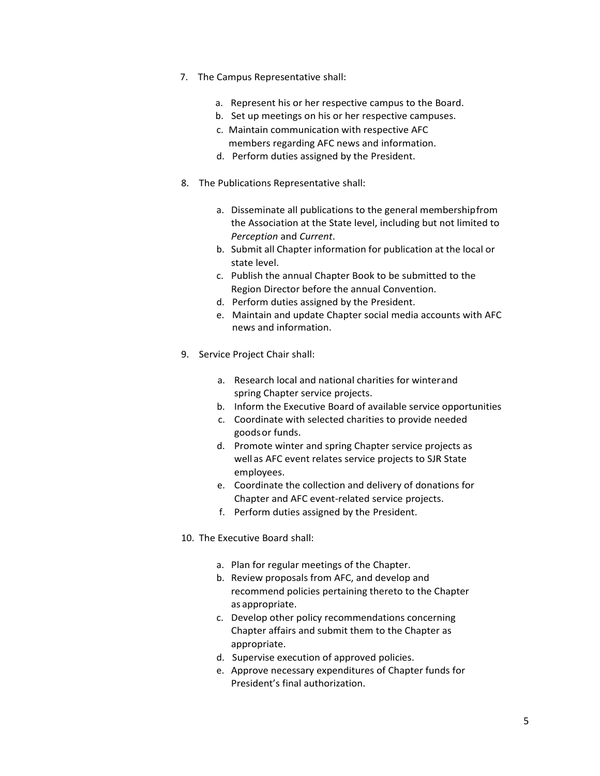- 7. The Campus Representative shall:
	- a. Represent his or her respective campus to the Board.
	- b. Set up meetings on his or her respective campuses.
	- c. Maintain communication with respective AFC members regarding AFC news and information.
	- d. Perform duties assigned by the President.
- 8. The Publications Representative shall:
	- a. Disseminate all publications to the general membershipfrom the Association at the State level, including but not limited to *Perception* and *Current*.
	- b. Submit all Chapter information for publication at the local or state level.
	- c. Publish the annual Chapter Book to be submitted to the Region Director before the annual Convention.
	- d. Perform duties assigned by the President.
	- e. Maintain and update Chapter social media accounts with AFC news and information.
- 9. Service Project Chair shall:
	- a. Research local and national charities for winterand spring Chapter service projects.
	- b. Inform the Executive Board of available service opportunities
	- c. Coordinate with selected charities to provide needed goodsor funds.
	- d. Promote winter and spring Chapter service projects as well as AFC event relates service projects to SJR State employees.
	- e. Coordinate the collection and delivery of donations for Chapter and AFC event-related service projects.
	- f. Perform duties assigned by the President.
- 10. The Executive Board shall:
	- a. Plan for regular meetings of the Chapter.
	- b. Review proposals from AFC, and develop and recommend policies pertaining thereto to the Chapter as appropriate.
	- c. Develop other policy recommendations concerning Chapter affairs and submit them to the Chapter as appropriate.
	- d. Supervise execution of approved policies.
	- e. Approve necessary expenditures of Chapter funds for President's final authorization.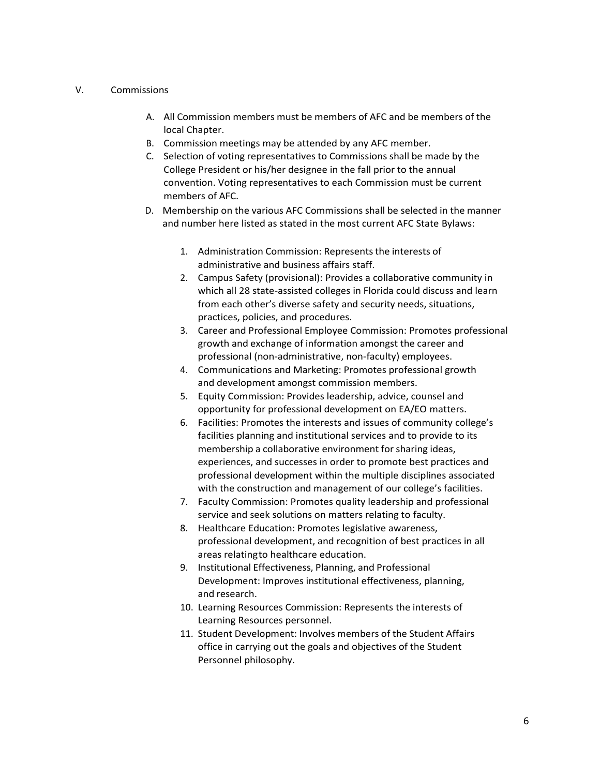#### V. Commissions

- A. All Commission members must be members of AFC and be members of the local Chapter.
- B. Commission meetings may be attended by any AFC member.
- C. Selection of voting representatives to Commissions shall be made by the College President or his/her designee in the fall prior to the annual convention. Voting representatives to each Commission must be current members of AFC.
- D. Membership on the various AFC Commissions shall be selected in the manner and number here listed as stated in the most current AFC State Bylaws:
	- 1. Administration Commission: Represents the interests of administrative and business affairs staff.
	- 2. Campus Safety (provisional): Provides a collaborative community in which all 28 state-assisted colleges in Florida could discuss and learn from each other's diverse safety and security needs, situations, practices, policies, and procedures.
	- 3. Career and Professional Employee Commission: Promotes professional growth and exchange of information amongst the career and professional (non-administrative, non-faculty) employees.
	- 4. Communications and Marketing: Promotes professional growth and development amongst commission members.
	- 5. Equity Commission: Provides leadership, advice, counsel and opportunity for professional development on EA/EO matters.
	- 6. Facilities: Promotes the interests and issues of community college's facilities planning and institutional services and to provide to its membership a collaborative environment forsharing ideas, experiences, and successes in order to promote best practices and professional development within the multiple disciplines associated with the construction and management of our college's facilities.
	- 7. Faculty Commission: Promotes quality leadership and professional service and seek solutions on matters relating to faculty.
	- 8. Healthcare Education: Promotes legislative awareness, professional development, and recognition of best practices in all areas relatingto healthcare education.
	- 9. Institutional Effectiveness, Planning, and Professional Development: Improves institutional effectiveness, planning, and research.
	- 10. Learning Resources Commission: Represents the interests of Learning Resources personnel.
	- 11. Student Development: Involves members of the Student Affairs office in carrying out the goals and objectives of the Student Personnel philosophy.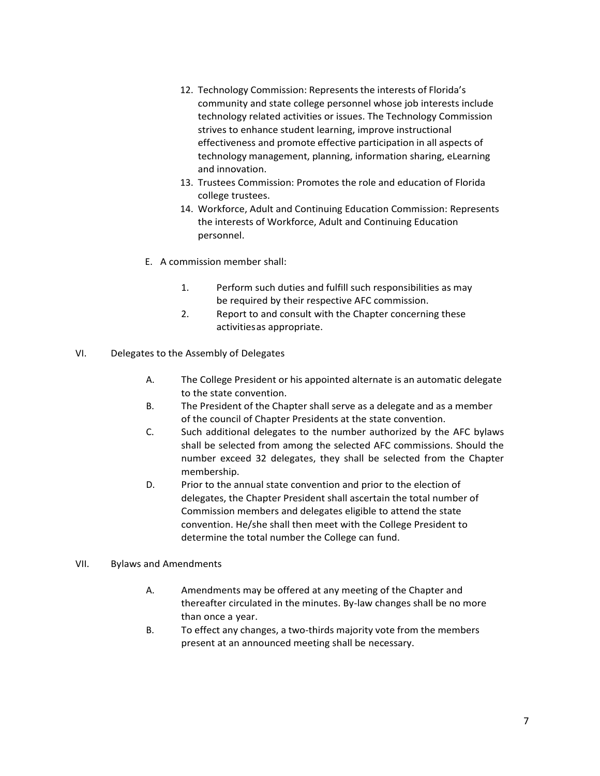- 12. Technology Commission: Represents the interests of Florida's community and state college personnel whose job interests include technology related activities or issues. The Technology Commission strives to enhance student learning, improve instructional effectiveness and promote effective participation in all aspects of technology management, planning, information sharing, eLearning and innovation.
- 13. Trustees Commission: Promotes the role and education of Florida college trustees.
- 14. Workforce, Adult and Continuing Education Commission: Represents the interests of Workforce, Adult and Continuing Education personnel.
- E. A commission member shall:
	- 1. Perform such duties and fulfill such responsibilities as may be required by their respective AFC commission.
	- 2. Report to and consult with the Chapter concerning these activitiesas appropriate.
- VI. Delegates to the Assembly of Delegates
	- A. The College President or his appointed alternate is an automatic delegate to the state convention.
	- B. The President of the Chapter shall serve as a delegate and as a member of the council of Chapter Presidents at the state convention.
	- C. Such additional delegates to the number authorized by the AFC bylaws shall be selected from among the selected AFC commissions. Should the number exceed 32 delegates, they shall be selected from the Chapter membership.
	- D. Prior to the annual state convention and prior to the election of delegates, the Chapter President shall ascertain the total number of Commission members and delegates eligible to attend the state convention. He/she shall then meet with the College President to determine the total number the College can fund.
- VII. Bylaws and Amendments
	- A. Amendments may be offered at any meeting of the Chapter and thereafter circulated in the minutes. By-law changes shall be no more than once a year.
	- B. To effect any changes, a two-thirds majority vote from the members present at an announced meeting shall be necessary.